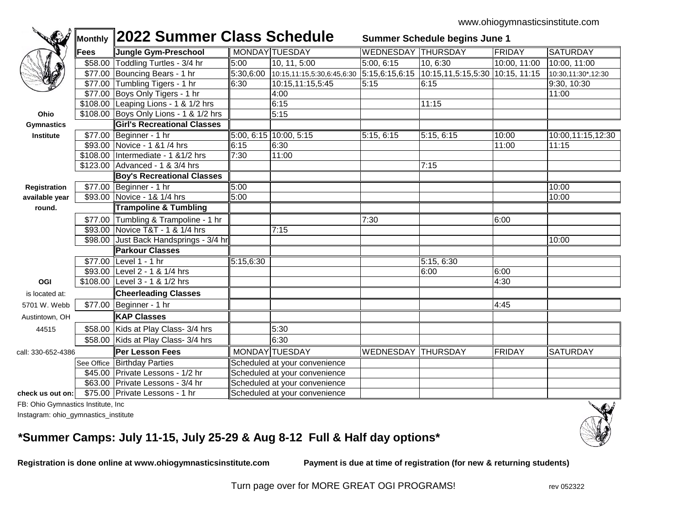| <b>C</b>           |      |                                                 | Monthly 2022 Summer Class Schedule<br>Summer Schedule begins June 1 |                                                       |                           |                                   |              |                    |
|--------------------|------|-------------------------------------------------|---------------------------------------------------------------------|-------------------------------------------------------|---------------------------|-----------------------------------|--------------|--------------------|
|                    | Fees | Jungle Gym-Preschool                            |                                                                     | MONDAY TUESDAY                                        | <b>WEDNESDAY THURSDAY</b> |                                   | FRIDAY       | <b>SATURDAY</b>    |
|                    |      | \$58.00 Toddling Turtles - 3/4 hr               | 5:00                                                                | 10, 11, 5:00                                          | 5:00, 6:15                | 10, 6:30                          | 10:00, 11:00 | 10:00, 11:00       |
|                    |      | \$77.00 Bouncing Bears - 1 hr                   |                                                                     | $5:30,6:00$ 10:15,11:15,5:30,6:45,6:30 5:15,6:15,6:15 |                           | $10:15,11,5:15,5:30$ 10:15, 11:15 |              | 10:30,11:30*,12:30 |
|                    |      | \$77.00 Tumbling Tigers - 1 hr                  | 6:30                                                                | 10:15,11:15,5:45                                      | 5:15                      | 6:15                              |              | 9:30, 10:30        |
|                    |      | \$77.00 Boys Only Tigers - 1 hr                 |                                                                     | 4:00                                                  |                           |                                   |              | 11:00              |
|                    |      | \$108.00 Leaping Lions - 1 & 1/2 hrs            |                                                                     | 6:15                                                  |                           | 11:15                             |              |                    |
| Ohio               |      | \$108.00 Boys Only Lions - 1 & 1/2 hrs          |                                                                     | 5:15                                                  |                           |                                   |              |                    |
| <b>Gymnastics</b>  |      | <b>Girl's Recreational Classes</b>              |                                                                     |                                                       |                           |                                   |              |                    |
| <b>Institute</b>   |      | \$77.00 Beginner - 1 hr                         |                                                                     | $5:00, 6:15$ 10:00, 5:15                              | 5:15, 6:15                | 5:15, 6:15                        | 10:00        | 10:00,11:15,12:30  |
|                    |      | \$93.00 Novice - 1 & 1 /4 hrs                   | 6:15                                                                | 6:30                                                  |                           |                                   | 11:00        | 11:15              |
|                    |      | \$108.00 Intermediate - 1 & 1/2 hrs             | 7:30                                                                | 11:00                                                 |                           |                                   |              |                    |
|                    |      | \$123.00 Advanced - 1 & 3/4 hrs                 |                                                                     |                                                       |                           | 7:15                              |              |                    |
|                    |      | <b>Boy's Recreational Classes</b>               |                                                                     |                                                       |                           |                                   |              |                    |
| Registration       |      | \$77.00 Beginner - 1 hr                         | 5:00                                                                |                                                       |                           |                                   |              | 10:00              |
| available year     |      | \$93.00 Novice - 1& 1/4 hrs                     | 5:00                                                                |                                                       |                           |                                   |              | 10:00              |
| round.             |      | <b>Trampoline &amp; Tumbling</b>                |                                                                     |                                                       |                           |                                   |              |                    |
|                    |      | \$77.00 Tumbling & Trampoline - 1 hr            |                                                                     |                                                       | 7:30                      |                                   | 6:00         |                    |
|                    |      | \$93.00 Novice T&T - 1 & 1/4 hrs                |                                                                     | 7:15                                                  |                           |                                   |              |                    |
|                    |      | \$98.00 Just Back Handsprings - 3/4 hr          |                                                                     |                                                       |                           |                                   |              | 10:00              |
|                    |      | <b>Parkour Classes</b>                          |                                                                     |                                                       |                           |                                   |              |                    |
|                    |      | \$77.00 Level 1 - 1 hr                          | 5:15,6:30                                                           |                                                       |                           | 5:15, 6:30                        |              |                    |
|                    |      | \$93.00 Level 2 - 1 & 1/4 hrs                   |                                                                     |                                                       |                           | 6:00                              | 6:00         |                    |
| OGI                |      | \$108.00 Level 3 - 1 & 1/2 hrs                  |                                                                     |                                                       |                           |                                   | 4:30         |                    |
| is located at:     |      | <b>Cheerleading Classes</b>                     |                                                                     |                                                       |                           |                                   |              |                    |
| 5701 W. Webb       |      | \$77.00 Beginner - 1 hr                         |                                                                     |                                                       |                           |                                   | 4:45         |                    |
| Austintown, OH     |      | <b>KAP Classes</b>                              |                                                                     |                                                       |                           |                                   |              |                    |
| 44515              |      | \$58.00 Kids at Play Class- 3/4 hrs             |                                                                     | 5:30                                                  |                           |                                   |              |                    |
|                    |      | \$58.00 Kids at Play Class- 3/4 hrs             |                                                                     | 6:30                                                  |                           |                                   |              |                    |
| call: 330-652-4386 |      | ∥Per Lesson Fees                                |                                                                     | MONDAY TUESDAY                                        | <b>WEDNESDAY THURSDAY</b> |                                   | FRIDAY       | <b>SATURDAY</b>    |
|                    |      | See Office Birthday Parties                     | Scheduled at your convenience                                       |                                                       |                           |                                   |              |                    |
|                    |      | \$45.00 Private Lessons - 1/2 hr                | Scheduled at your convenience                                       |                                                       |                           |                                   |              |                    |
|                    |      | \$63.00 Private Lessons - 3/4 hr                |                                                                     | Scheduled at your convenience                         |                           |                                   |              |                    |
|                    |      | check us out on: \$75.00 Private Lessons - 1 hr |                                                                     | Scheduled at your convenience                         |                           |                                   |              |                    |

FB: Ohio Gymnastics Institute, Inc

Instagram: ohio\_gymnastics\_institute

## **\*Summer Camps: July 11-15, July 25-29 & Aug 8-12 Full & Half day options\***

**Registration is done online at www.ohiogymnasticsinstitute.com Payment is due at time of registration (for new & returning students)**